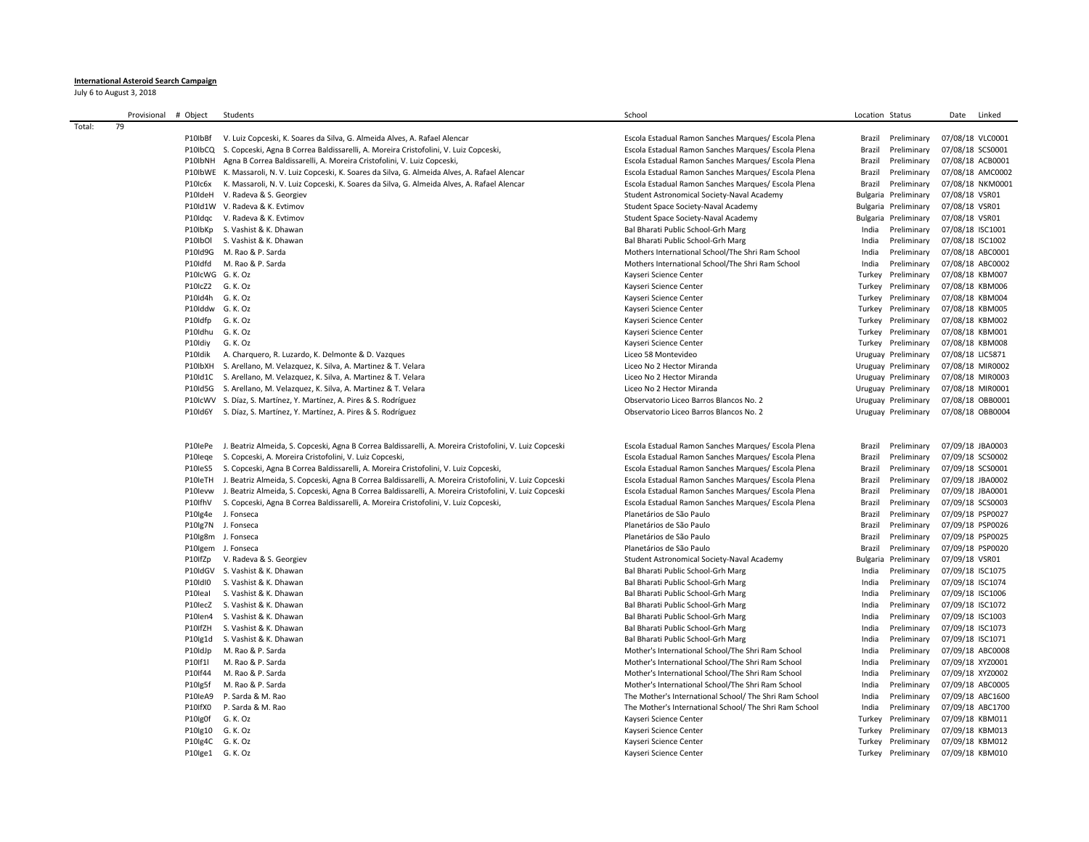## **International Asteroid Search Campaign**

July 6 to August 3, 2018

|        | Provisional | # Object         | Students                                                                                                        | School                                                 | Location Status         | Linked<br>Date   |
|--------|-------------|------------------|-----------------------------------------------------------------------------------------------------------------|--------------------------------------------------------|-------------------------|------------------|
| Total: | 79          |                  |                                                                                                                 |                                                        |                         |                  |
|        |             | P10IbBf          | V. Luiz Copceski, K. Soares da Silva, G. Almeida Alves, A. Rafael Alencar                                       | Escola Estadual Ramon Sanches Marques/ Escola Plena    | Brazil<br>Preliminary   | 07/08/18 VLC0001 |
|        |             | P10IbCQ          | S. Copceski, Agna B Correa Baldissarelli, A. Moreira Cristofolini, V. Luiz Copceski,                            | Escola Estadual Ramon Sanches Marques/ Escola Plena    | Preliminary<br>Brazil   | 07/08/18 SCS0001 |
|        |             | P10IbNH          | Agna B Correa Baldissarelli, A. Moreira Cristofolini, V. Luiz Copceski,                                         | Escola Estadual Ramon Sanches Marques/ Escola Plena    | Preliminary<br>Brazil   | 07/08/18 ACB0001 |
|        |             |                  | P10IbWE K. Massaroli, N. V. Luiz Copceski, K. Soares da Silva, G. Almeida Alves, A. Rafael Alencar              | Escola Estadual Ramon Sanches Marques/ Escola Plena    | Preliminary<br>Brazil   | 07/08/18 AMC0002 |
|        |             | P10Ic6x          | K. Massaroli, N. V. Luiz Copceski, K. Soares da Silva, G. Almeida Alves, A. Rafael Alencar                      | Escola Estadual Ramon Sanches Marques/ Escola Plena    | Brazil<br>Preliminary   | 07/08/18 NKM0001 |
|        |             |                  | P10IdeH V. Radeva & S. Georgiev                                                                                 | Student Astronomical Society-Naval Academy             | Bulgaria Preliminary    | 07/08/18 VSR01   |
|        |             |                  | P10Id1W V. Radeva & K. Evtimov                                                                                  | Student Space Society-Naval Academy                    | Bulgaria Preliminary    | 07/08/18 VSR01   |
|        |             |                  |                                                                                                                 |                                                        |                         |                  |
|        |             |                  | P10Idqc V. Radeva & K. Evtimov                                                                                  | Student Space Society-Naval Academy                    | Bulgaria<br>Preliminary | 07/08/18 VSR01   |
|        |             | P10IbKp          | S. Vashist & K. Dhawan                                                                                          | Bal Bharati Public School-Grh Marg                     | India<br>Preliminary    | 07/08/18 ISC1001 |
|        |             | P10IbOI          | S. Vashist & K. Dhawan                                                                                          | Bal Bharati Public School-Grh Marg                     | India<br>Preliminary    | 07/08/18 ISC1002 |
|        |             |                  | P10Id9G M. Rao & P. Sarda                                                                                       | Mothers International School/The Shri Ram School       | India<br>Preliminary    | 07/08/18 ABC0001 |
|        |             | P10Idfd          | M. Rao & P. Sarda                                                                                               | Mothers International School/The Shri Ram School       | India<br>Preliminary    | 07/08/18 ABC0002 |
|        |             | P10IcWG G. K. Oz |                                                                                                                 | Kayseri Science Center                                 | Turkey<br>Preliminary   | 07/08/18 KBM007  |
|        |             | P10IcZ2 G. K. Oz |                                                                                                                 | Kayseri Science Center                                 | Turkey<br>Preliminary   | 07/08/18 KBM006  |
|        |             | P10ld4h G. K. Oz |                                                                                                                 | Kayseri Science Center                                 | Turkey<br>Preliminary   | 07/08/18 KBM004  |
|        |             | P10Iddw G. K. Oz |                                                                                                                 | Kayseri Science Center                                 | Turkey<br>Preliminary   | 07/08/18 KBM005  |
|        |             | P10Idfp          | G. K. Oz                                                                                                        | Kayseri Science Center                                 | Turkey<br>Preliminary   | 07/08/18 KBM002  |
|        |             | P10ldhu G. K. Oz |                                                                                                                 | Kayseri Science Center                                 | Turkey Preliminary      | 07/08/18 KBM001  |
|        |             | P10Idiy          | G. K. Oz                                                                                                        | Kayseri Science Center                                 | Turkey Preliminary      | 07/08/18 KBM008  |
|        |             | P10Idik          | A. Charquero, R. Luzardo, K. Delmonte & D. Vazques                                                              | Liceo 58 Montevideo                                    | Uruguay Preliminary     | 07/08/18 LIC5871 |
|        |             |                  | P10IbXH S. Arellano, M. Velazquez, K. Silva, A. Martinez & T. Velara                                            | Liceo No 2 Hector Miranda                              | Uruguay Preliminary     | 07/08/18 MIR0002 |
|        |             |                  | P10Id1C S. Arellano, M. Velazquez, K. Silva, A. Martinez & T. Velara                                            | Liceo No 2 Hector Miranda                              | Uruguay Preliminary     | 07/08/18 MIR0003 |
|        |             |                  | P10Id5G S. Arellano, M. Velazquez, K. Silva, A. Martinez & T. Velara                                            | Liceo No 2 Hector Miranda                              | Uruguay Preliminary     | 07/08/18 MIR0001 |
|        |             | P10IcWV          | S. Díaz, S. Martínez, Y. Martínez, A. Pires & S. Rodríguez                                                      | Observatorio Liceo Barros Blancos No. 2                | Uruguay Preliminary     | 07/08/18 OBB0001 |
|        |             | P10Id6Y          | S. Díaz, S. Martínez, Y. Martínez, A. Pires & S. Rodríguez                                                      | Observatorio Liceo Barros Blancos No. 2                | Uruguay Preliminary     | 07/08/18 OBB0004 |
|        |             |                  |                                                                                                                 |                                                        |                         |                  |
|        |             |                  |                                                                                                                 |                                                        |                         |                  |
|        |             |                  | P10lePe J. Beatriz Almeida, S. Copceski, Agna B Correa Baldissarelli, A. Moreira Cristofolini, V. Luiz Copceski | Escola Estadual Ramon Sanches Marques/ Escola Plena    | Brazil<br>Preliminary   | 07/09/18 JBA0003 |
|        |             | P10lege          | S. Copceski, A. Moreira Cristofolini, V. Luiz Copceski,                                                         | Escola Estadual Ramon Sanches Marques/ Escola Plena    | Preliminary<br>Brazil   | 07/09/18 SCS0002 |
|        |             | P10leS5          | S. Copceski, Agna B Correa Baldissarelli, A. Moreira Cristofolini, V. Luiz Copceski,                            | Escola Estadual Ramon Sanches Marques/ Escola Plena    | Preliminary<br>Brazil   | 07/09/18 SCS0001 |
|        |             | P10leTH          | J. Beatriz Almeida, S. Copceski, Agna B Correa Baldissarelli, A. Moreira Cristofolini, V. Luiz Copceski         | Escola Estadual Ramon Sanches Marques/ Escola Plena    | Preliminary<br>Brazil   | 07/09/18 JBA0002 |
|        |             | P10levw          | J. Beatriz Almeida, S. Copceski, Agna B Correa Baldissarelli, A. Moreira Cristofolini, V. Luiz Copceski         | Escola Estadual Ramon Sanches Marques/ Escola Plena    | Preliminary<br>Brazil   | 07/09/18 JBA0001 |
|        |             | P10IfhV          | S. Copceski, Agna B Correa Baldissarelli, A. Moreira Cristofolini, V. Luiz Copceski,                            | Escola Estadual Ramon Sanches Marques/ Escola Plena    | Brazil<br>Preliminary   | 07/09/18 SCS0003 |
|        |             |                  | P10lg4e J. Fonseca                                                                                              | Planetários de São Paulo                               | Brazil<br>Preliminary   | 07/09/18 PSP0027 |
|        |             | P10lg7N          | J. Fonseca                                                                                                      | Planetários de São Paulo                               | Preliminary<br>Brazil   | 07/09/18 PSP0026 |
|        |             |                  | P10lg8m J. Fonseca                                                                                              | Planetários de São Paulo                               | Brazil<br>Preliminary   | 07/09/18 PSP0025 |
|        |             |                  | P10Igem J. Fonseca                                                                                              | Planetários de São Paulo                               | Brazil<br>Preliminary   | 07/09/18 PSP0020 |
|        |             | P10IfZp          | V. Radeva & S. Georgiev                                                                                         | Student Astronomical Society-Naval Academy             | Preliminary<br>Bulgaria | 07/09/18 VSR01   |
|        |             |                  | P10IdGV S. Vashist & K. Dhawan                                                                                  | Bal Bharati Public School-Grh Marg                     | India<br>Preliminary    | 07/09/18 ISC1075 |
|        |             | P10IdI0          | S. Vashist & K. Dhawan                                                                                          | Bal Bharati Public School-Grh Marg                     | India<br>Preliminary    | 07/09/18 ISC1074 |
|        |             | P10leal          | S. Vashist & K. Dhawan                                                                                          | Bal Bharati Public School-Grh Marg                     | India<br>Preliminary    | 07/09/18 ISC1006 |
|        |             |                  | P10lecZ S. Vashist & K. Dhawan                                                                                  | Bal Bharati Public School-Grh Marg                     | India<br>Preliminary    | 07/09/18 ISC1072 |
|        |             |                  |                                                                                                                 |                                                        |                         |                  |
|        |             |                  | P10len4 S. Vashist & K. Dhawan                                                                                  | Bal Bharati Public School-Grh Marg                     | India<br>Preliminary    | 07/09/18 ISC1003 |
|        |             | P10IfZH          | S. Vashist & K. Dhawan                                                                                          | Bal Bharati Public School-Grh Marg                     | India<br>Preliminary    | 07/09/18 ISC1073 |
|        |             |                  | P10lg1d S. Vashist & K. Dhawan                                                                                  | Bal Bharati Public School-Grh Marg                     | Preliminary<br>India    | 07/09/18 ISC1071 |
|        |             | P10IdJp          | M. Rao & P. Sarda                                                                                               | Mother's International School/The Shri Ram School      | India<br>Preliminary    | 07/09/18 ABC0008 |
|        |             | P10If1l          | M. Rao & P. Sarda                                                                                               | Mother's International School/The Shri Ram School      | India<br>Preliminary    | 07/09/18 XYZ0001 |
|        |             | P10If44          | M. Rao & P. Sarda                                                                                               | Mother's International School/The Shri Ram School      | India<br>Preliminary    | 07/09/18 XYZ0002 |
|        |             | P10lg5f          | M. Rao & P. Sarda                                                                                               | Mother's International School/The Shri Ram School      | India<br>Preliminary    | 07/09/18 ABC0005 |
|        |             |                  | P10leA9 P. Sarda & M. Rao                                                                                       | The Mother's International School/ The Shri Ram School | India<br>Preliminary    | 07/09/18 ABC1600 |
|        |             | P10IfX0          | P. Sarda & M. Rao                                                                                               | The Mother's International School/ The Shri Ram School | India<br>Preliminary    | 07/09/18 ABC1700 |
|        |             | P10Ig0f          | G. K. Oz                                                                                                        | Kayseri Science Center                                 | Turkey<br>Preliminary   | 07/09/18 KBM011  |
|        |             | P10lg10          | G. K. Oz                                                                                                        | Kayseri Science Center                                 | Turkey<br>Preliminary   | 07/09/18 KBM013  |
|        |             | P10lg4C G. K. Oz |                                                                                                                 | Kayseri Science Center                                 | Preliminary<br>Turkey   | 07/09/18 KBM012  |
|        |             | P10lge1 G.K.Oz   |                                                                                                                 | Kayseri Science Center                                 | Turkey Preliminary      | 07/09/18 KBM010  |